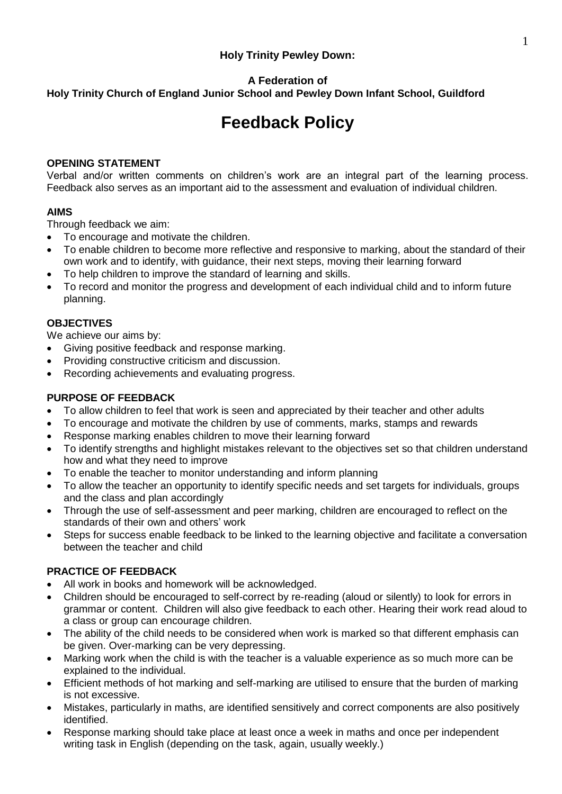## **Holy Trinity Pewley Down:**

# **A Federation of**

**Holy Trinity Church of England Junior School and Pewley Down Infant School, Guildford**

# **Feedback Policy**

### **OPENING STATEMENT**

Verbal and/or written comments on children's work are an integral part of the learning process. Feedback also serves as an important aid to the assessment and evaluation of individual children.

#### **AIMS**

Through feedback we aim:

- To encourage and motivate the children.
- To enable children to become more reflective and responsive to marking, about the standard of their own work and to identify, with guidance, their next steps, moving their learning forward
- To help children to improve the standard of learning and skills.
- To record and monitor the progress and development of each individual child and to inform future planning.

#### **OBJECTIVES**

We achieve our aims by:

- Giving positive feedback and response marking.
- Providing constructive criticism and discussion.
- Recording achievements and evaluating progress.

#### **PURPOSE OF FEEDBACK**

- To allow children to feel that work is seen and appreciated by their teacher and other adults
- To encourage and motivate the children by use of comments, marks, stamps and rewards
- Response marking enables children to move their learning forward
- To identify strengths and highlight mistakes relevant to the objectives set so that children understand how and what they need to improve
- To enable the teacher to monitor understanding and inform planning
- To allow the teacher an opportunity to identify specific needs and set targets for individuals, groups and the class and plan accordingly
- Through the use of self-assessment and peer marking, children are encouraged to reflect on the standards of their own and others' work
- Steps for success enable feedback to be linked to the learning objective and facilitate a conversation between the teacher and child

#### **PRACTICE OF FEEDBACK**

- All work in books and homework will be acknowledged.
- Children should be encouraged to self-correct by re-reading (aloud or silently) to look for errors in grammar or content. Children will also give feedback to each other. Hearing their work read aloud to a class or group can encourage children.
- The ability of the child needs to be considered when work is marked so that different emphasis can be given. Over-marking can be very depressing.
- Marking work when the child is with the teacher is a valuable experience as so much more can be explained to the individual.
- Efficient methods of hot marking and self-marking are utilised to ensure that the burden of marking is not excessive.
- Mistakes, particularly in maths, are identified sensitively and correct components are also positively identified.
- Response marking should take place at least once a week in maths and once per independent writing task in English (depending on the task, again, usually weekly.)